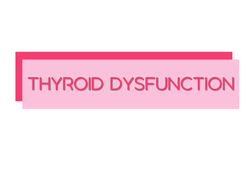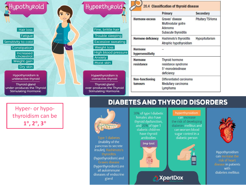

Hyper - or hypo thyroidism can be **1 , 2 , 3**

**Type 1 diabetes** (inability of the pancreas to secrete insulin), Hashimoto's (hypothyroidism) and (hyperthyroidism) are all autoimmune diseases of endocrine gland

30% of type I diabetic females also have thyroid dysfunction, and 20% of type 1 diabetic children have thyroid antibodies

### **Imp test**



### hyperthyroidism

can increase the risk of developing diabetes mellitus and can worsen blood sugar control in a diabetic person

**DIABETES AND THYROID DISORDERS** 

**A** XpertDox





Hypothyroidism can increase the disease in patients with diabetes mellitus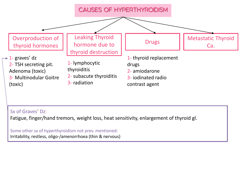

### Sx of Graves' Dz:

Fatigue, finger/hand tremors, weight loss, heat sensitivity, enlargement of thyroid gl.

Some other sx of hyperthyroidism not prev. mentioned: Irritability, restless, oligo-/amenorrhoea (thin & nervous)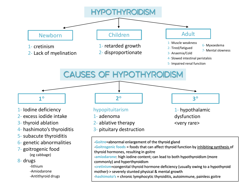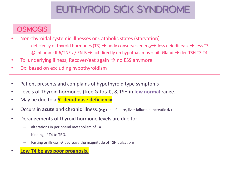# **EUTHYROID SICK SYNDROME**

# **OSMOSIS**

- Non-thyroidal systemic illnesses or Catabolic states (starvation)
	- deficiency of thyroid hormones (T3)  $\rightarrow$  body conserves energy $\rightarrow$  less deiodinease $\rightarrow$  less T3
	- $\phi$  inflamm: II-6/TNF-a/IFN-B  $\rightarrow$  act directly on hypothalamus + pit. Gland  $\rightarrow$  dec TSH T3 T4
- Tx: underlying illness; Recover/eat again  $\rightarrow$  no ESS anymore
- Dx: based on excluding hypothyroidism
- Patient presents and complains of hypothyroid type symptoms
- Levels of Thyroid hormones (free & total), & TSH in **low normal** range.
- May be due to a **5'-deiodinase deficiency**
- Occurs in **acute** and **chronic** illness. (e.g renal failure, liver failure, pancreatic dz)
- Derangements of thyroid hormone levels are due to:
	- alterations in peripheral metabolism of T4
	- binding of T4 to TBG.
	- Fasting or illness  $\rightarrow$  decrease the magnitude of TSH pulsations.
- **Low T4 belays poor prognosis.**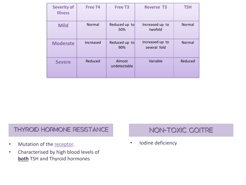| <b>Severity of</b><br><b>Illness</b> | <b>Free T4</b> | <b>Free T3</b>         | <b>Reverse T3</b>               | <b>TSH</b> |
|--------------------------------------|----------------|------------------------|---------------------------------|------------|
| <b>Mild</b>                          | Normal         | Reduced up to<br>50%   | Increased up to<br>twofold      | Normal     |
| <b>Moderate</b>                      | Increased      | Reduced up to<br>90%   | Increased up to<br>several fold | Normal     |
| <b>Severe</b>                        | Reduced        | Almost<br>undetectable | Variable                        | Reduced    |

# **THYROID HORMONE RESISTANCE**

- Mutation of the receptor.
- Characterised by high blood levels of **both** TSH and Thyroid hormones

# **NON-TOXIC GOITRE**

• Iodine deficiency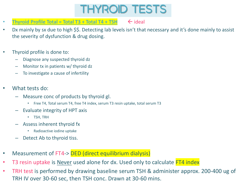

- **Thyroid Profile Total = Total T3 + Total T4 + TSH**  $\leftarrow$  ideal
- Dx mainly by sx due to high \$\$. Detecting lab levels isn't that necessary and it's done mainly to assist the severity of dysfunction & drug dosing.
- Thyroid profile is done to:
	- Diagnose any suspected thyroid dz
	- Monitor tx in patients w/ thyroid dz
	- To investigate a cause of infertility
- What tests do:
	- Measure conc of products by thyroid gl.
		- Free T4, Total serum T4, free T4 index, serum T3 resin uptake, total serum T3
	- Evaluate integrity of HPT axis
		- TSH, TRH
	- Assess inherent thyroid fx
		- Radioactive iodine uptake
	- Detect Ab to thyroid tiss.
- Measurement of FT4-> DED (direct equilibrium dialysis)
- T3 resin uptake is Never used alone for dx. Used only to calculate FT4 index
- TRH test is performed by drawing baseline serum TSH & administer approx. 200-400 ug of TRH IV over 30-60 sec, then TSH conc. Drawn at 30-60 mins.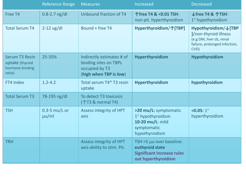|                                                                       | <b>Reference Range</b>          | <b>Measures</b>                                                                                | Increased                                                                                               | <b>Decreased</b>                                                                                                   |
|-----------------------------------------------------------------------|---------------------------------|------------------------------------------------------------------------------------------------|---------------------------------------------------------------------------------------------------------|--------------------------------------------------------------------------------------------------------------------|
| Free T4                                                               | $0.8 - 2.7$ ng/dl               | Unbound fraction of T4                                                                         | 个free T4 & <0.01 TSH:<br>non-pit. hyperthyroidism                                                       | ↓ free T4 & 个TSH:<br>1° hypothyroidism                                                                             |
| <b>Total Serum T4</b>                                                 | $2-12$ ug/dl                    | Bound + free T4                                                                                | Hyperthyroidism/个[TBP]                                                                                  | Hypothyroidism/↓[TBP<br>]/non-thyroid illness<br>(e.g DM, liver dz, renal<br>failure, prolonged infection,<br>CVD) |
| <b>Serum T3 Resin</b><br>uptake (thyroid<br>hormone binding<br>ratio) | 25-35%                          | Indirectly estimates # of<br>binding sites on TBPs<br>occupied by T3<br>(high when TBP is low) | Hyperthyroidism                                                                                         | Hypothyroidism                                                                                                     |
| FT4 Index                                                             | $1.2 - 4.2$                     | Total serum T4* T3 resin<br>uptake                                                             | Hyperthyroidism                                                                                         | hypothyroidism                                                                                                     |
| <b>Total Serum T3</b>                                                 | 78-195 ng/dl                    | To detect T3 toxicosis<br>(个T3 & normal T4)                                                    |                                                                                                         |                                                                                                                    |
| <b>TSH</b>                                                            | $0.3 - 5$ mu/L or<br>$\mu$ u/ml | Assess integrity of HPT<br>axis                                                                | >20 mu/L: symptomatic<br>1° hypothyroidism<br>10-20 mu/L: mild<br>symptomatic<br>hypothyroidism         | $< 0.05: 1^{\circ}$<br>hyperthyroidism                                                                             |
| <b>TRH</b>                                                            |                                 | Assess integrity of HPT<br>axis-ability to stim. Pit.                                          | TSH >5 µu over baseline:<br>euthyroid state<br><b>Significant increase rules</b><br>out hyperthyroidism |                                                                                                                    |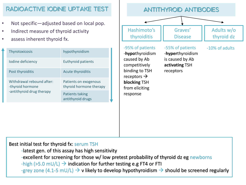## **RADIOACTIVE IODINE UPTAKE TEST**

- Not specific—adjusted based on local pop.
- Indirect measure of thyroid activity
- assess inherent thyroid fx.

| <b>Thyrotoxicosis</b>                         | hypothyroidism                                   |  |
|-----------------------------------------------|--------------------------------------------------|--|
| Iodine deficiency                             | <b>Euthyroid patients</b>                        |  |
| Post thyroiditis                              | Acute thyroiditis                                |  |
| Withdrawal rebound after:<br>-thyroid hormone | Patients on exogenous<br>thyroid hormone therapy |  |
| -antithyroid drug therapy                     | Patients taking<br>antithyroid drugs             |  |



Best initial test for thyroid fx: serum TSH

-latest gen. of this assay has high sensitivity

-excellent for screening for those w/ low pretest probability of thyroid dz eg newborns

 $-high (>5.0$  mU/L)  $\rightarrow$  indication for further testing e.g FT4 or FTI

-grey zone (4.1-5 mU/L)  $\rightarrow$  v likely to develop hypothyroidism  $\rightarrow$  should be screened regularly